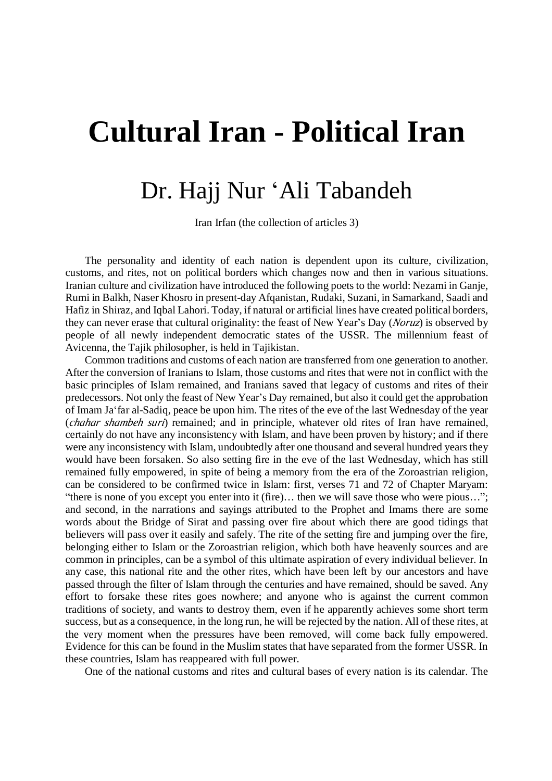## **Cultural Iran - Political Iran**

## Dr. Hajj Nur 'Ali Tabandeh

Iran Irfan (the collection of articles 3)

The personality and identity of each nation is dependent upon its culture, civilization, customs, and rites, not on political borders which changes now and then in various situations. Iranian culture and civilization have introduced the following poets to the world: Nezami in Ganje, Rumi in Balkh, Naser Khosro in present-day Afqanistan, Rudaki, Suzani, in Samarkand, Saadi and Hafiz in Shiraz, and Iqbal Lahori. Today, if natural or artificial lines have created political borders, they can never erase that cultural originality: the feast of New Year's Day (*Noruz*) is observed by people of all newly independent democratic states of the USSR. The millennium feast of Avicenna, the Tajik philosopher, is held in Tajikistan.

Common traditions and customs of each nation are transferred from one generation to another. After the conversion of Iranians to Islam, those customs and rites that were not in conflict with the basic principles of Islam remained, and Iranians saved that legacy of customs and rites of their predecessors. Not only the feast of New Year's Day remained, but also it could get the approbation of Imam Ja'far al-Sadiq, peace be upon him. The rites of the eve of the last Wednesday of the year (*chahar shambeh suri*) remained; and in principle, whatever old rites of Iran have remained, certainly do not have any inconsistency with Islam, and have been proven by history; and if there were any inconsistency with Islam, undoubtedly after one thousand and several hundred years they would have been forsaken. So also setting fire in the eve of the last Wednesday, which has still remained fully empowered, in spite of being a memory from the era of the Zoroastrian religion, can be considered to be confirmed twice in Islam: first, verses 71 and 72 of Chapter Maryam: "there is none of you except you enter into it (fire)… then we will save those who were pious…"; and second, in the narrations and sayings attributed to the Prophet and Imams there are some words about the Bridge of Sirat and passing over fire about which there are good tidings that believers will pass over it easily and safely. The rite of the setting fire and jumping over the fire, belonging either to Islam or the Zoroastrian religion, which both have heavenly sources and are common in principles, can be a symbol of this ultimate aspiration of every individual believer. In any case, this national rite and the other rites, which have been left by our ancestors and have passed through the filter of Islam through the centuries and have remained, should be saved. Any effort to forsake these rites goes nowhere; and anyone who is against the current common traditions of society, and wants to destroy them, even if he apparently achieves some short term success, but as a consequence, in the long run, he will be rejected by the nation. All of these rites, at the very moment when the pressures have been removed, will come back fully empowered. Evidence for this can be found in the Muslim states that have separated from the former USSR. In these countries, Islam has reappeared with full power.

One of the national customs and rites and cultural bases of every nation is its calendar. The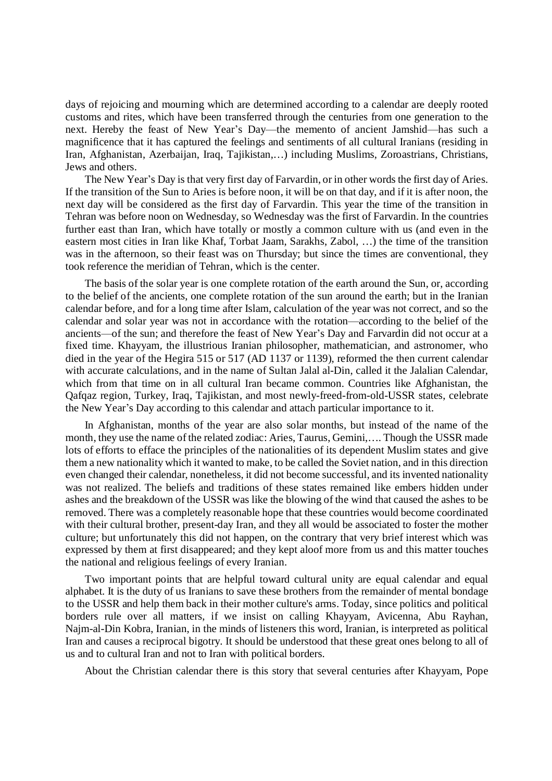days of rejoicing and mourning which are determined according to a calendar are deeply rooted customs and rites, which have been transferred through the centuries from one generation to the next. Hereby the feast of New Year's Day—the memento of ancient Jamshid—has such a magnificence that it has captured the feelings and sentiments of all cultural Iranians (residing in Iran, Afghanistan, Azerbaijan, Iraq, Tajikistan,…) including Muslims, Zoroastrians, Christians, Jews and others.

The New Year's Day is that very first day of Farvardin, or in other words the first day of Aries. If the transition of the Sun to Aries is before noon, it will be on that day, and if it is after noon, the next day will be considered as the first day of Farvardin. This year the time of the transition in Tehran was before noon on Wednesday, so Wednesday was the first of Farvardin. In the countries further east than Iran, which have totally or mostly a common culture with us (and even in the eastern most cities in Iran like Khaf, Torbat Jaam, Sarakhs, Zabol, …) the time of the transition was in the afternoon, so their feast was on Thursday; but since the times are conventional, they took reference the meridian of Tehran, which is the center.

The basis of the solar year is one complete rotation of the earth around the Sun, or, according to the belief of the ancients, one complete rotation of the sun around the earth; but in the Iranian calendar before, and for a long time after Islam, calculation of the year was not correct, and so the calendar and solar year was not in accordance with the rotation—according to the belief of the ancients—of the sun; and therefore the feast of New Year's Day and Farvardin did not occur at a fixed time. Khayyam*,* the illustrious Iranian philosopher, mathematician, and astronomer, who died in the year of the Hegira 515 or 517 (AD 1137 or 1139), reformed the then current calendar with accurate calculations, and in the name of Sultan Jalal al-Din, called it the Jalalian Calendar, which from that time on in all cultural Iran became common. Countries like Afghanistan, the Qafqaz region, Turkey, Iraq, Tajikistan, and most newly-freed-from-old-USSR states, celebrate the New Year's Day according to this calendar and attach particular importance to it.

In Afghanistan, months of the year are also solar months, but instead of the name of the month, they use the name of the related zodiac: Aries, Taurus, Gemini,…. Though the USSR made lots of efforts to efface the principles of the nationalities of its dependent Muslim states and give them a new nationality which it wanted to make, to be called the Soviet nation, and in this direction even changed their calendar, nonetheless, it did not become successful, and its invented nationality was not realized. The beliefs and traditions of these states remained like embers hidden under ashes and the breakdown of the USSR was like the blowing of the wind that caused the ashes to be removed. There was a completely reasonable hope that these countries would become coordinated with their cultural brother, present-day Iran, and they all would be associated to foster the mother culture; but unfortunately this did not happen, on the contrary that very brief interest which was expressed by them at first disappeared; and they kept aloof more from us and this matter touches the national and religious feelings of every Iranian.

Two important points that are helpful toward cultural unity are equal calendar and equal alphabet. It is the duty of us Iranians to save these brothers from the remainder of mental bondage to the USSR and help them back in their mother culture's arms. Today, since politics and political borders rule over all matters, if we insist on calling Khayyam, Avicenna, Abu Rayhan, Najm-al-Din Kobra, Iranian, in the minds of listeners this word, Iranian, is interpreted as political Iran and causes a reciprocal bigotry. It should be understood that these great ones belong to all of us and to cultural Iran and not to Iran with political borders.

About the Christian calendar there is this story that several centuries after Khayyam, Pope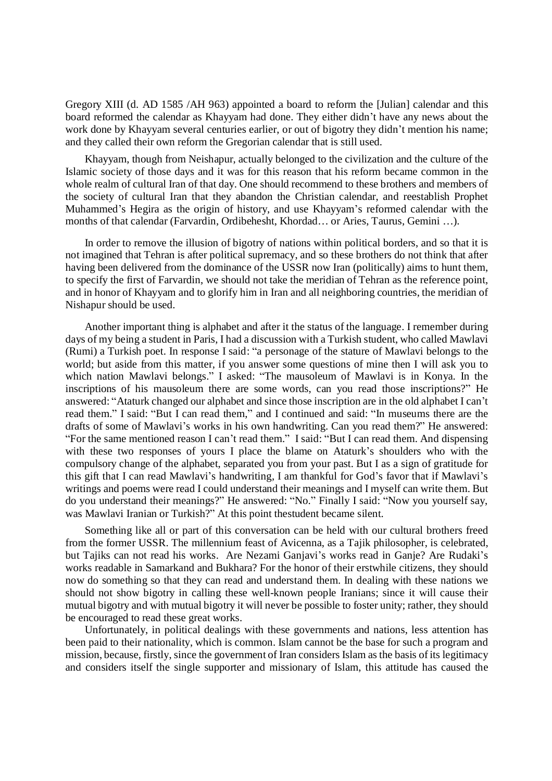Gregory XIII (d. AD 1585 /AH 963) appointed a board to reform the [Julian] calendar and this board reformed the calendar as Khayyam had done. They either didn't have any news about the work done by Khayyam several centuries earlier, or out of bigotry they didn't mention his name; and they called their own reform the Gregorian calendar that is still used.

Khayyam, though from Neishapur, actually belonged to the civilization and the culture of the Islamic society of those days and it was for this reason that his reform became common in the whole realm of cultural Iran of that day. One should recommend to these brothers and members of the society of cultural Iran that they abandon the Christian calendar, and reestablish Prophet Muhammed's Hegira as the origin of history, and use Khayyam's reformed calendar with the months of that calendar (Farvardin, Ordibehesht, Khordad… or Aries, Taurus, Gemini …).

In order to remove the illusion of bigotry of nations within political borders, and so that it is not imagined that Tehran is after political supremacy, and so these brothers do not think that after having been delivered from the dominance of the USSR now Iran (politically) aims to hunt them, to specify the first of Farvardin, we should not take the meridian of Tehran as the reference point, and in honor of Khayyam and to glorify him in Iran and all neighboring countries, the meridian of Nishapur should be used.

Another important thing is alphabet and after it the status of the language. I remember during days of my being a student in Paris, I had a discussion with a Turkish student, who called Mawlavi (Rumi) a Turkish poet. In response I said: "a personage of the stature of Mawlavi belongs to the world; but aside from this matter, if you answer some questions of mine then I will ask you to which nation Mawlavi belongs." I asked: "The mausoleum of Mawlavi is in Konya. In the inscriptions of his mausoleum there are some words, can you read those inscriptions?" He answered: "Ataturk changed our alphabet and since those inscription are in the old alphabet I can't read them." I said: "But I can read them," and I continued and said: "In museums there are the drafts of some of Mawlavi's works in his own handwriting. Can you read them?" He answered: "For the same mentioned reason I can't read them." I said: "But I can read them. And dispensing with these two responses of yours I place the blame on Ataturk's shoulders who with the compulsory change of the alphabet, separated you from your past. But I as a sign of gratitude for this gift that I can read Mawlavi's handwriting, I am thankful for God's favor that if Mawlavi's writings and poems were read I could understand their meanings and I myself can write them. But do you understand their meanings?" He answered: "No." Finally I said: "Now you yourself say, was Mawlavi Iranian or Turkish?" At this point thestudent became silent.

Something like all or part of this conversation can be held with our cultural brothers freed from the former USSR. The millennium feast of Avicenna, as a Tajik philosopher, is celebrated, but Tajiks can not read his works. Are Nezami Ganjavi's works read in Ganje? Are Rudaki's works readable in Samarkand and Bukhara? For the honor of their erstwhile citizens, they should now do something so that they can read and understand them. In dealing with these nations we should not show bigotry in calling these well-known people Iranians; since it will cause their mutual bigotry and with mutual bigotry it will never be possible to foster unity; rather, they should be encouraged to read these great works.

Unfortunately, in political dealings with these governments and nations, less attention has been paid to their nationality, which is common. Islam cannot be the base for such a program and mission, because, firstly, since the government of Iran considers Islam as the basis of its legitimacy and considers itself the single supporter and missionary of Islam, this attitude has caused the